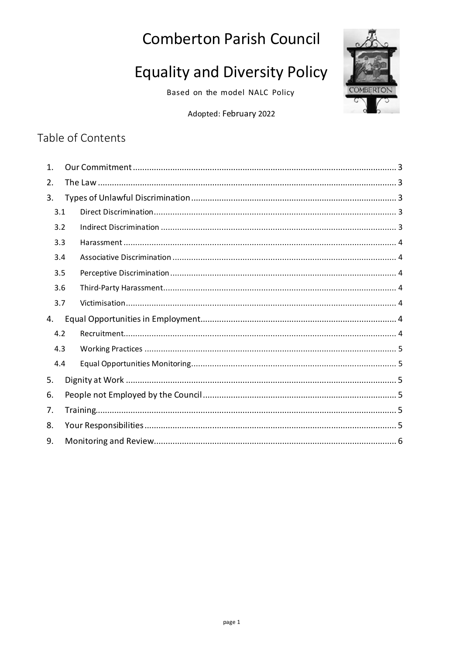## **Comberton Parish Council**

# **Equality and Diversity Policy**

Based on the model NALC Policy



Adopted: February 2022

### Table of Contents

| 1.  |  |  |  |  |  |
|-----|--|--|--|--|--|
| 2.  |  |  |  |  |  |
| 3.  |  |  |  |  |  |
| 3.1 |  |  |  |  |  |
| 3.2 |  |  |  |  |  |
| 3.3 |  |  |  |  |  |
| 3.4 |  |  |  |  |  |
| 3.5 |  |  |  |  |  |
| 3.6 |  |  |  |  |  |
| 3.7 |  |  |  |  |  |
| 4.  |  |  |  |  |  |
| 4.2 |  |  |  |  |  |
| 4.3 |  |  |  |  |  |
| 4.4 |  |  |  |  |  |
| 5.  |  |  |  |  |  |
| 6.  |  |  |  |  |  |
| 7.  |  |  |  |  |  |
| 8.  |  |  |  |  |  |
| 9.  |  |  |  |  |  |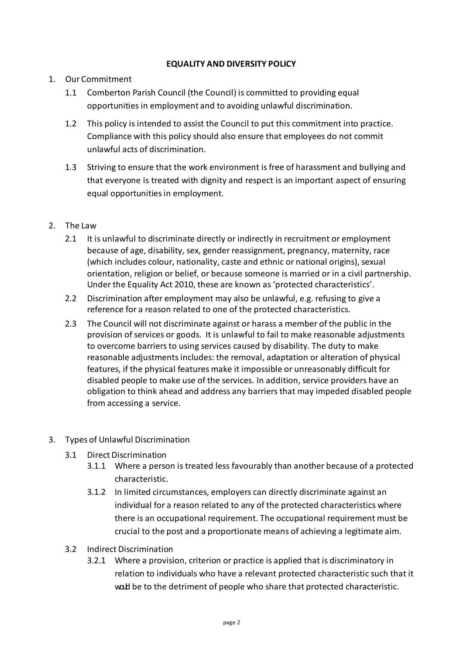#### **EQUALITY AND DIVERSITY POLICY**

#### 1. Our Commitment

- 1.1 Comberton Parish Council (the Council) is committed to providing equal opportunities in employment and to avoiding unlawful discrimination.
- 1.2 This policy is intended to assist the Council to put this commitment into practice. Compliance with this policy should also ensure that employees do not commit unlawful acts of discrimination.
- 1.3 Striving to ensure that the work environment is free of harassment and bullying and that everyone is treated with dignity and respect is an important aspect of ensuring equal opportunities in employment.

#### 2. The Law

- 2.1 It is unlawful to discriminate directly or indirectly in recruitment or employment because of age, disability, sex, gender reassignment, pregnancy, maternity, race (which includes colour, nationality, caste and ethnic or national origins), sexual orientation, religion or belief, or because someone is married or in a civil partnership. Under the Equality Act 2010, these are known as 'protected characteristics'.
- 2.2 Discrimination after employment may also be unlawful, e.g. refusing to give a reference for a reason related to one of the protected characteristics.
- 2.3 The Council will not discriminate against or harass a member of the public in the provision of services or goods. It is unlawful to fail to make reasonable adjustments to overcome barriers to using services caused by disability. The duty to make reasonable adjustments includes: the removal, adaptation or alteration of physical features, if the physical features make it impossible or unreasonably difficult for disabled people to make use of the services. In addition, service providers have an obligation to think ahead and address any barriers that may impeded disabled people from accessing a service.

#### 3. Types of Unlawful Discrimination

- 3.1 Direct Discrimination
	- 3.1.1 Where a person is treated less favourably than another because of a protected characteristic.
	- 3.1.2 In limited circumstances, employers can directly discriminate against an individual for a reason related to any of the protected characteristics where there is an occupational requirement. The occupational requirement must be crucial to the post and a proportionate means of achieving a legitimate aim.
- 3.2 Indirect Discrimination
	- 3.2.1 Where a provision, criterion or practice is applied that is discriminatory in relation to individuals who have a relevant protected characteristic such that it wald be to the detriment of people who share that protected characteristic.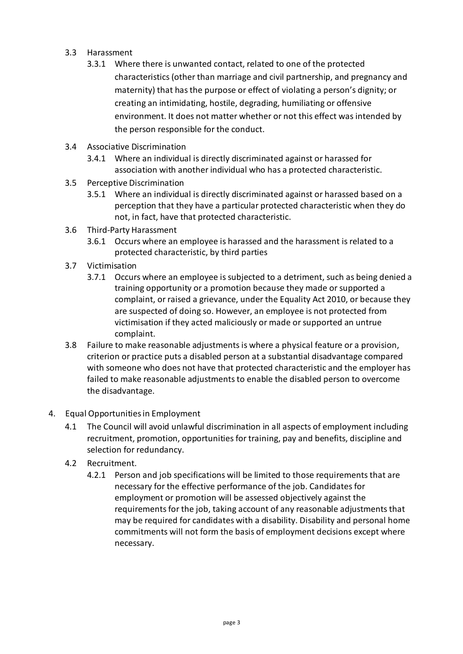- 3.3 Harassment
	- 3.3.1 Where there is unwanted contact, related to one of the protected characteristics (other than marriage and civil partnership, and pregnancy and maternity) that has the purpose or effect of violating a person's dignity; or creating an intimidating, hostile, degrading, humiliating or offensive environment. It does not matter whether or not this effect was intended by the person responsible for the conduct.
- 3.4 Associative Discrimination
	- 3.4.1 Where an individual is directly discriminated against or harassed for association with another individual who has a protected characteristic.
- 3.5 Perceptive Discrimination
	- 3.5.1 Where an individual is directly discriminated against or harassed based on a perception that they have a particular protected characteristic when they do not, in fact, have that protected characteristic.
- 3.6 Third-Party Harassment
	- 3.6.1 Occurs where an employee is harassed and the harassment is related to a protected characteristic, by third parties
- 3.7 Victimisation
	- 3.7.1 Occurs where an employee is subjected to a detriment, such as being denied a training opportunity or a promotion because they made or supported a complaint, or raised a grievance, under the Equality Act 2010, or because they are suspected of doing so. However, an employee is not protected from victimisation if they acted maliciously or made or supported an untrue complaint.
- 3.8 Failure to make reasonable adjustments is where a physical feature or a provision, criterion or practice puts a disabled person at a substantial disadvantage compared with someone who does not have that protected characteristic and the employer has failed to make reasonable adjustments to enable the disabled person to overcome the disadvantage.
- 4. Equal Opportunities in Employment
	- 4.1 The Council will avoid unlawful discrimination in all aspects of employment including recruitment, promotion, opportunities for training, pay and benefits, discipline and selection for redundancy.
	- 4.2 Recruitment.
		- 4.2.1 Person and job specifications will be limited to those requirements that are necessary for the effective performance of the job. Candidates for employment or promotion will be assessed objectively against the requirements for the job, taking account of any reasonable adjustments that may be required for candidates with a disability. Disability and personal home commitments will not form the basis of employment decisions except where necessary.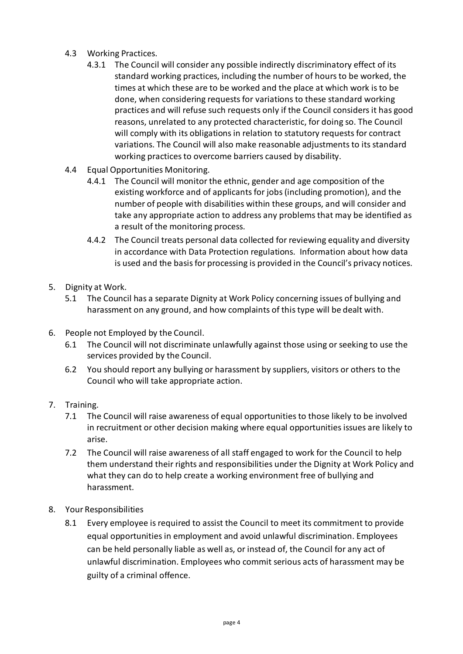- 4.3 Working Practices.
	- 4.3.1 The Council will consider any possible indirectly discriminatory effect of its standard working practices, including the number of hours to be worked, the times at which these are to be worked and the place at which work is to be done, when considering requests for variations to these standard working practices and will refuse such requests only if the Council considers it has good reasons, unrelated to any protected characteristic, for doing so. The Council will comply with its obligations in relation to statutory requests for contract variations. The Council will also make reasonable adjustments to its standard working practices to overcome barriers caused by disability.
- 4.4 Equal Opportunities Monitoring.
	- 4.4.1 The Council will monitor the ethnic, gender and age composition of the existing workforce and of applicants for jobs (including promotion), and the number of people with disabilities within these groups, and will consider and take any appropriate action to address any problems that may be identified as a result of the monitoring process.
	- 4.4.2 The Council treats personal data collected for reviewing equality and diversity in accordance with Data Protection regulations. Information about how data is used and the basis for processing is provided in the Council's privacy notices.
- 5. Dignity at Work.
	- 5.1 The Council has a separate Dignity at Work Policy concerning issues of bullying and harassment on any ground, and how complaints of this type will be dealt with.
- 6. People not Employed by the Council.
	- 6.1 The Council will not discriminate unlawfully against those using or seeking to use the services provided by the Council.
	- 6.2 You should report any bullying or harassment by suppliers, visitors or others to the Council who will take appropriate action.
- 7. Training.
	- 7.1 The Council will raise awareness of equal opportunities to those likely to be involved in recruitment or other decision making where equal opportunities issues are likely to arise.
	- 7.2 The Council will raise awareness of all staff engaged to work for the Council to help them understand their rights and responsibilities under the Dignity at Work Policy and what they can do to help create a working environment free of bullying and harassment.
- 8. Your Responsibilities
	- 8.1 Every employee is required to assist the Council to meet its commitment to provide equal opportunities in employment and avoid unlawful discrimination. Employees can be held personally liable as well as, or instead of, the Council for any act of unlawful discrimination. Employees who commit serious acts of harassment may be guilty of a criminal offence.